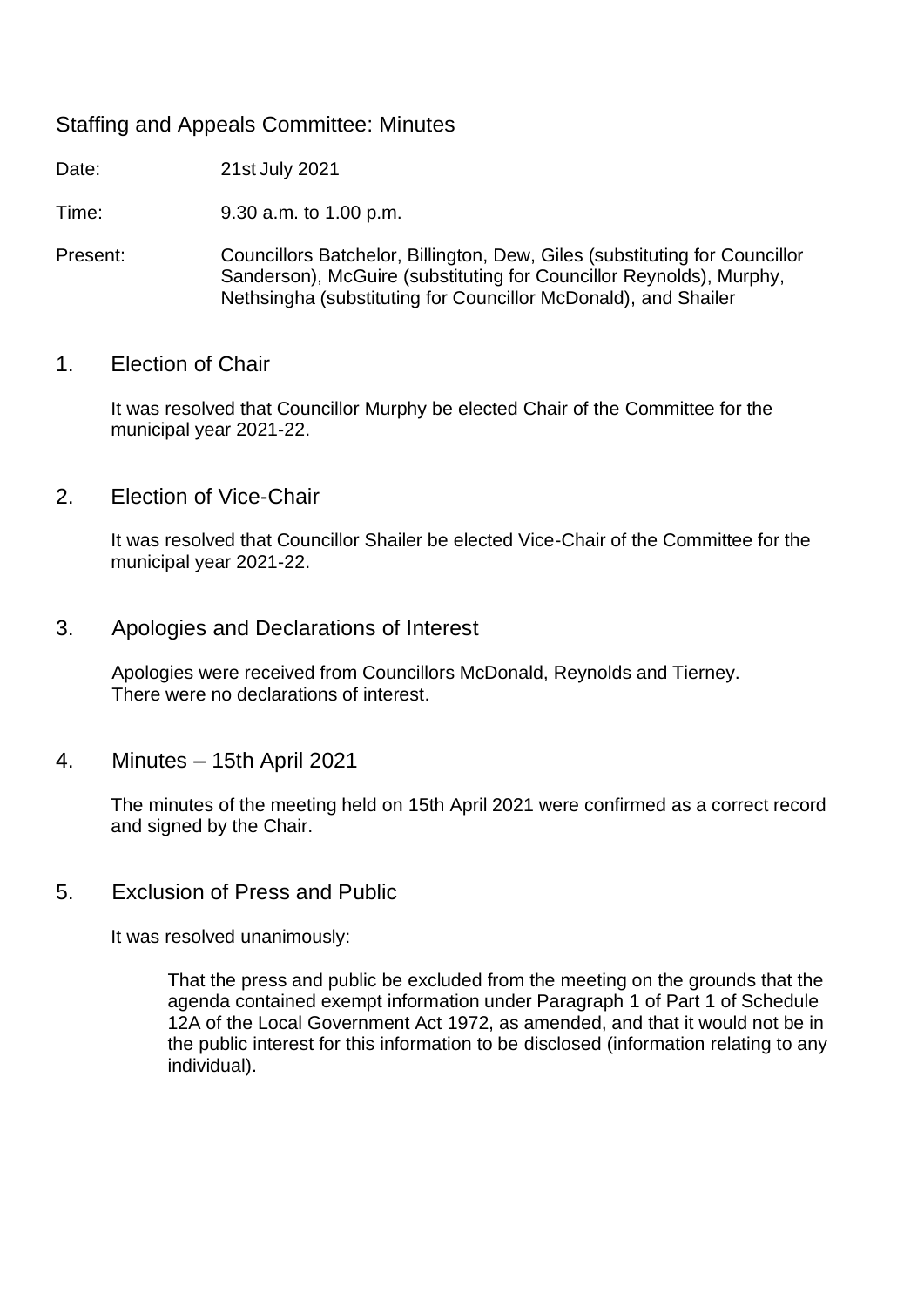## Staffing and Appeals Committee: Minutes

Date: 21st July 2021

Time: 9.30 a.m. to 1.00 p.m.

Present: Councillors Batchelor, Billington, Dew, Giles (substituting for Councillor Sanderson), McGuire (substituting for Councillor Reynolds), Murphy, Nethsingha (substituting for Councillor McDonald), and Shailer

## 1. Election of Chair

It was resolved that Councillor Murphy be elected Chair of the Committee for the municipal year 2021-22.

2. Election of Vice-Chair

It was resolved that Councillor Shailer be elected Vice-Chair of the Committee for the municipal year 2021-22.

3. Apologies and Declarations of Interest

Apologies were received from Councillors McDonald, Reynolds and Tierney. There were no declarations of interest.

4. Minutes – 15th April 2021

The minutes of the meeting held on 15th April 2021 were confirmed as a correct record and signed by the Chair.

5. Exclusion of Press and Public

It was resolved unanimously:

That the press and public be excluded from the meeting on the grounds that the agenda contained exempt information under Paragraph 1 of Part 1 of Schedule 12A of the Local Government Act 1972, as amended, and that it would not be in the public interest for this information to be disclosed (information relating to any individual).